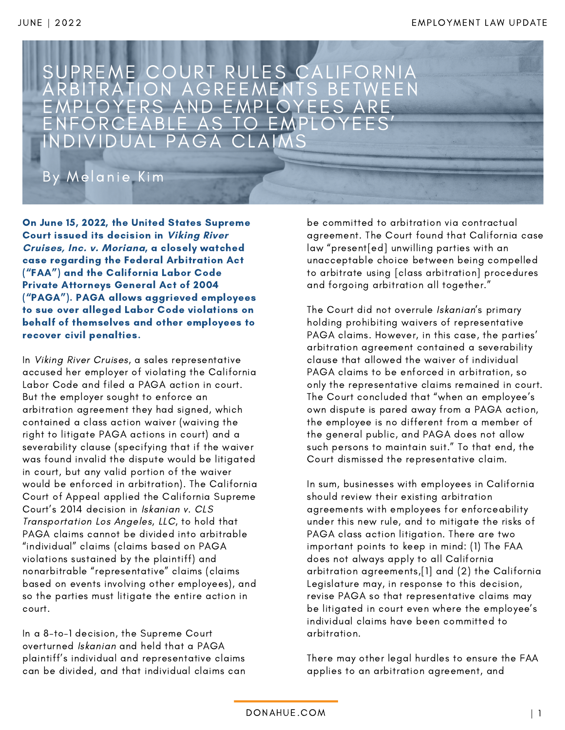

On June 15, 2022, the United States Supreme Court issued its decision in **Viking River Cruises, Inc. v. Moriana**, a closely watched case regarding the Federal Arbitration Act ("FAA") and the California Labor Code Private Attorneys General Act of 2004 ("PAGA"). PAGA allows aggrieved employees to sue over alleged Labor Code violations on behalf of themselves and other employees to recover civil penalties.

In Viking River Cruises, a sales representative accused her employer of violating the California Labor Code and filed a PAGA action in court. But the employer sought to enforce an arbitration agreement they had signed, which contained a class action waiver (waiving the right to litigate PAGA actions in court) and a severability clause (specifying that if the waiver was found invalid the dispute would be litigated in court, but any valid portion of the waiver would be enforced in arbitration). The California Court of Appeal applied the California Supreme Court's 2014 decision in Iskanian v. CLS Transportation Los Angeles, LLC, to hold that PAGA claims cannot be divided into arbitrable "individual" claims (claims based on PAGA violations sustained by the plaintiff) and nonarbitrable "representative" claims (claims based on events involving other employees), and so the parties must litigate the entire action in court.

In a 8-to-1 decision, the Supreme Court overturned Iskanian and held that a PAGA plaintiff's individual and representative claims can be divided, and that individual claims can be committed to arbitration via contractual agreement. The Court found that California case law "present[ed] unwilling parties with an unacceptable choice between being compelled to arbitrate using [class arbitration] procedures and forgoing arbitration all together."

The Court did not overrule Iskanian's primary holding prohibiting waivers of representative PAGA claims. However, in this case, the parties' arbitration agreement contained a severability clause that allowed the waiver of individual PAGA claims to be enforced in arbitration, so only the representative claims remained in court. The Court concluded that "when an employee's own dispute is pared away from a PAGA action, the employee is no different from a member of the general public, and PAGA does not allow such persons to maintain suit." To that end, the Court dismissed the representative claim.

In sum, businesses with employees in California should review their existing arbitration agreements with employees for enforceability under this new rule, and to mitigate the risks of PAGA class action litigation. There are two important points to keep in mind: (1) The FAA does not always apply to all California arbitration agreements,[1] and (2) the California Legislature may, in response to this decision, revise PAGA so that representative claims may be litigated in court even where the employee's individual claims have been committed to arbitration.

There may other legal hurdles to ensure the FAA applies to an arbitration agreement, and